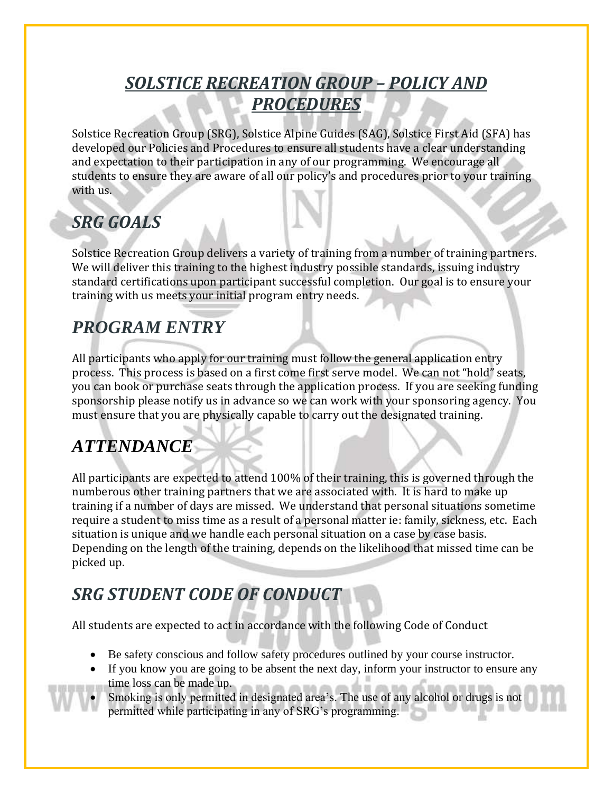## *SOLSTICE RECREATION GROUP – POLICY AND PROCEDURES*

Solstice Recreation Group (SRG), Solstice Alpine Guides (SAG), Solstice First Aid (SFA) has developed our Policies and Procedures to ensure all students have a clear understanding and expectation to their participation in any of our programming. We encourage all students to ensure they are aware of all our policy's and procedures prior to your training with us.

## *SRG GOALS*

Solstice Recreation Group delivers a variety of training from a number of training partners. We will deliver this training to the highest industry possible standards, issuing industry standard certifications upon participant successful completion. Our goal is to ensure your training with us meets your initial program entry needs.

# *PROGRAM ENTRY*

All participants who apply for our training must follow the general application entry process. This process is based on a first come first serve model. We can not "hold" seats, you can book or purchase seats through the application process. If you are seeking funding sponsorship please notify us in advance so we can work with your sponsoring agency. You must ensure that you are physically capable to carry out the designated training.

## *ATTENDANCE*

All participants are expected to attend 100% of their training, this is governed through the numberous other training partners that we are associated with. It is hard to make up training if a number of days are missed. We understand that personal situations sometime require a student to miss time as a result of a personal matter ie: family, sickness, etc. Each situation is unique and we handle each personal situation on a case by case basis. Depending on the length of the training, depends on the likelihood that missed time can be picked up.

## *SRG STUDENT CODE OF CONDUCT*

All students are expected to act in accordance with the following Code of Conduct

- Be safety conscious and follow safety procedures outlined by your course instructor.
- If you know you are going to be absent the next day, inform your instructor to ensure any time loss can be made up.
- Smoking is only permitted in designated area's. The use of any alcohol or drugs is not permitted while participating in any of SRG's programming.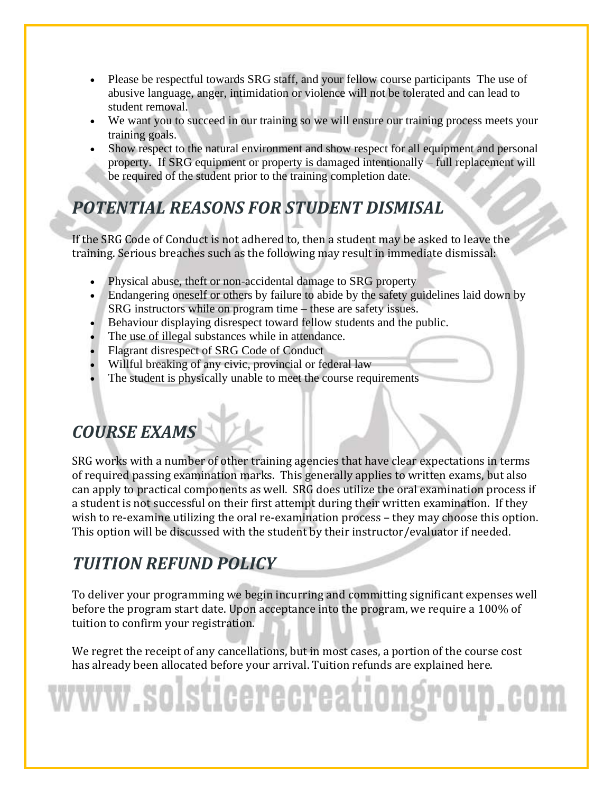- Please be respectful towards SRG staff, and your fellow course participants The use of abusive language, anger, intimidation or violence will not be tolerated and can lead to student removal.
- We want you to succeed in our training so we will ensure our training process meets your training goals.
- Show respect to the natural environment and show respect for all equipment and personal property. If SRG equipment or property is damaged intentionally – full replacement will be required of the student prior to the training completion date.

# *POTENTIAL REASONS FOR STUDENT DISMISAL*

If the SRG Code of Conduct is not adhered to, then a student may be asked to leave the training. Serious breaches such as the following may result in immediate dismissal:

- Physical abuse, theft or non-accidental damage to SRG property
- Endangering oneself or others by failure to abide by the safety guidelines laid down by SRG instructors while on program time – these are safety issues.
- Behaviour displaying disrespect toward fellow students and the public.
- The use of illegal substances while in attendance.
- Flagrant disrespect of SRG Code of Conduct
- Willful breaking of any civic, provincial or federal law
- The student is physically unable to meet the course requirements

# *COURSE EXAMS*

SRG works with a number of other training agencies that have clear expectations in terms of required passing examination marks. This generally applies to written exams, but also can apply to practical components as well. SRG does utilize the oral examination process if a student is not successful on their first attempt during their written examination. If they wish to re-examine utilizing the oral re-examination process – they may choose this option. This option will be discussed with the student by their instructor/evaluator if needed.

#### *TUITION REFUND POLICY*

To deliver your programming we begin incurring and committing significant expenses well before the program start date. Upon acceptance into the program, we require a 100% of tuition to confirm your registration.

We regret the receipt of any cancellations, but in most cases, a portion of the course cost has already been allocated before your arrival. Tuition refunds are explained here.

# www.solsticerecreationgr